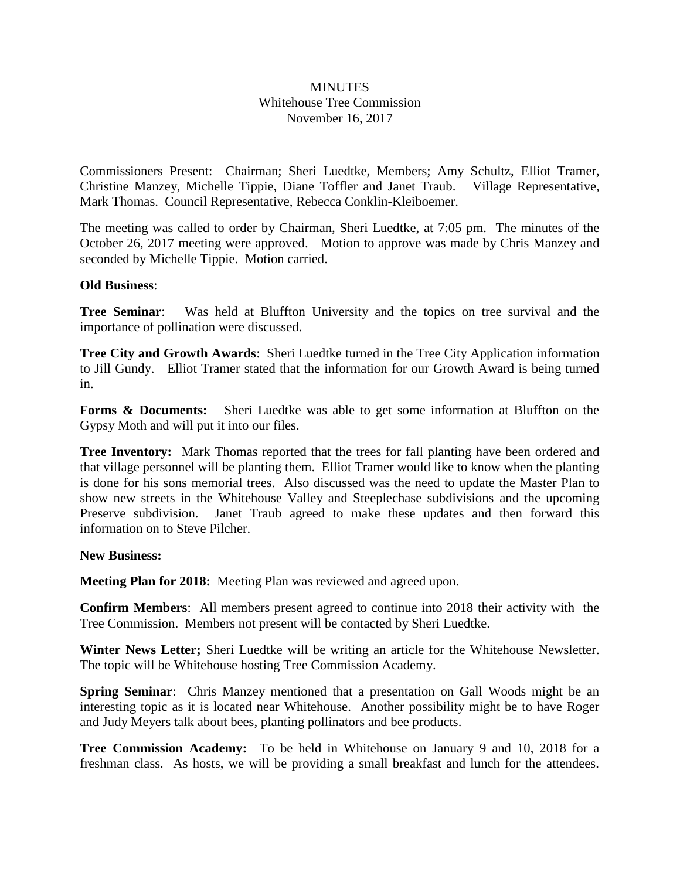## **MINUTES** Whitehouse Tree Commission November 16, 2017

Commissioners Present: Chairman; Sheri Luedtke, Members; Amy Schultz, Elliot Tramer, Christine Manzey, Michelle Tippie, Diane Toffler and Janet Traub. Village Representative, Mark Thomas. Council Representative, Rebecca Conklin-Kleiboemer.

The meeting was called to order by Chairman, Sheri Luedtke, at 7:05 pm. The minutes of the October 26, 2017 meeting were approved. Motion to approve was made by Chris Manzey and seconded by Michelle Tippie. Motion carried.

## **Old Business**:

**Tree Seminar**: Was held at Bluffton University and the topics on tree survival and the importance of pollination were discussed.

**Tree City and Growth Awards**: Sheri Luedtke turned in the Tree City Application information to Jill Gundy. Elliot Tramer stated that the information for our Growth Award is being turned in.

**Forms & Documents:** Sheri Luedtke was able to get some information at Bluffton on the Gypsy Moth and will put it into our files.

**Tree Inventory:** Mark Thomas reported that the trees for fall planting have been ordered and that village personnel will be planting them. Elliot Tramer would like to know when the planting is done for his sons memorial trees. Also discussed was the need to update the Master Plan to show new streets in the Whitehouse Valley and Steeplechase subdivisions and the upcoming Preserve subdivision. Janet Traub agreed to make these updates and then forward this information on to Steve Pilcher.

## **New Business:**

**Meeting Plan for 2018:** Meeting Plan was reviewed and agreed upon.

**Confirm Members**: All members present agreed to continue into 2018 their activity with the Tree Commission. Members not present will be contacted by Sheri Luedtke.

**Winter News Letter;** Sheri Luedtke will be writing an article for the Whitehouse Newsletter. The topic will be Whitehouse hosting Tree Commission Academy.

**Spring Seminar**: Chris Manzey mentioned that a presentation on Gall Woods might be an interesting topic as it is located near Whitehouse. Another possibility might be to have Roger and Judy Meyers talk about bees, planting pollinators and bee products.

**Tree Commission Academy:** To be held in Whitehouse on January 9 and 10, 2018 for a freshman class. As hosts, we will be providing a small breakfast and lunch for the attendees.